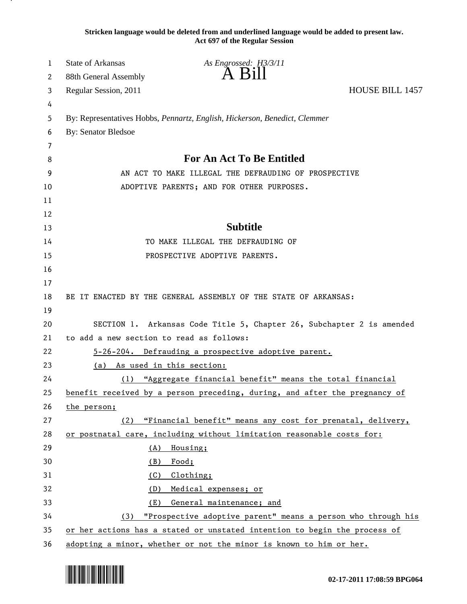**Stricken language would be deleted from and underlined language would be added to present law. Act 697 of the Regular Session**

| 1        | <b>State of Arkansas</b>                                                                                                                         | As Engrossed: H3/3/11                                                      |                        |
|----------|--------------------------------------------------------------------------------------------------------------------------------------------------|----------------------------------------------------------------------------|------------------------|
| 2        | 88th General Assembly                                                                                                                            | A B1II                                                                     |                        |
| 3        | Regular Session, 2011                                                                                                                            |                                                                            | <b>HOUSE BILL 1457</b> |
| 4        |                                                                                                                                                  |                                                                            |                        |
| 5        |                                                                                                                                                  | By: Representatives Hobbs, Pennartz, English, Hickerson, Benedict, Clemmer |                        |
| 6        | <b>By: Senator Bledsoe</b>                                                                                                                       |                                                                            |                        |
| 7        |                                                                                                                                                  |                                                                            |                        |
| 8        | <b>For An Act To Be Entitled</b>                                                                                                                 |                                                                            |                        |
| 9        | AN ACT TO MAKE ILLEGAL THE DEFRAUDING OF PROSPECTIVE                                                                                             |                                                                            |                        |
| 10       |                                                                                                                                                  | ADOPTIVE PARENTS; AND FOR OTHER PURPOSES.                                  |                        |
| 11       |                                                                                                                                                  |                                                                            |                        |
| 12       |                                                                                                                                                  |                                                                            |                        |
| 13       |                                                                                                                                                  | <b>Subtitle</b>                                                            |                        |
| 14       |                                                                                                                                                  | TO MAKE ILLEGAL THE DEFRAUDING OF                                          |                        |
| 15       |                                                                                                                                                  | PROSPECTIVE ADOPTIVE PARENTS.                                              |                        |
| 16       |                                                                                                                                                  |                                                                            |                        |
| 17       |                                                                                                                                                  |                                                                            |                        |
| 18       |                                                                                                                                                  | BE IT ENACTED BY THE GENERAL ASSEMBLY OF THE STATE OF ARKANSAS:            |                        |
| 19       |                                                                                                                                                  |                                                                            |                        |
| 20       | SECTION 1. Arkansas Code Title 5, Chapter 26, Subchapter 2 is amended                                                                            |                                                                            |                        |
| 21       | to add a new section to read as follows:                                                                                                         |                                                                            |                        |
| 22       |                                                                                                                                                  | 5-26-204. Defrauding a prospective adoptive parent.                        |                        |
| 23       | As used in this section:<br>(a)                                                                                                                  |                                                                            |                        |
| 24       | (1) "Aggregate financial benefit" means the total financial                                                                                      |                                                                            |                        |
| 25       |                                                                                                                                                  | benefit received by a person preceding, during, and after the pregnancy of |                        |
| 26       | the person;                                                                                                                                      |                                                                            |                        |
| 27       | (2)                                                                                                                                              | "Financial benefit" means any cost for prenatal, delivery,                 |                        |
| 28       |                                                                                                                                                  | or postnatal care, including without limitation reasonable costs for:      |                        |
| 29       | (A)                                                                                                                                              | Housing;                                                                   |                        |
| 30       | (B)                                                                                                                                              | Food;                                                                      |                        |
| 31       | (C)                                                                                                                                              | Clothing;                                                                  |                        |
| 32       | (D)                                                                                                                                              | Medical expenses; or                                                       |                        |
| 33<br>34 | General maintenance; and<br>(E)                                                                                                                  |                                                                            |                        |
|          | "Prospective adoptive parent" means a person who through his<br>(3)<br>or her actions has a stated or unstated intention to begin the process of |                                                                            |                        |
| 35       |                                                                                                                                                  |                                                                            |                        |